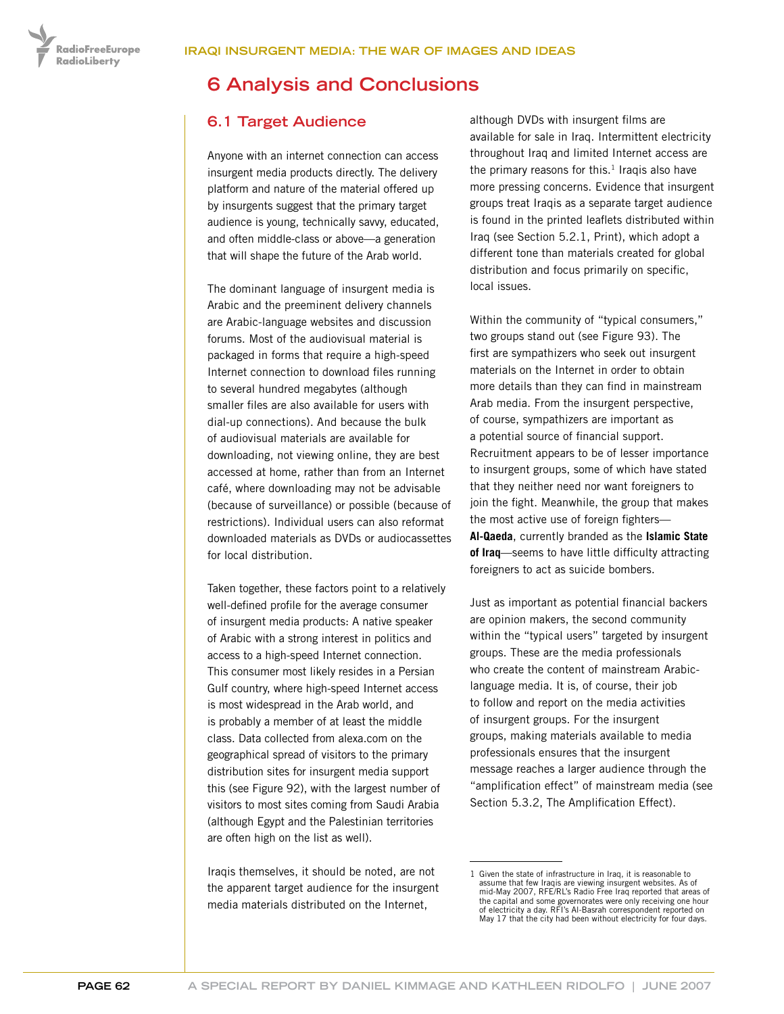**RadioFreeEurope RadioLiberty** 

# **6 Analysis and Conclusions**

# **6.1 Target Audience**

Anyone with an internet connection can access insurgent media products directly. The delivery platform and nature of the material offered up by insurgents suggest that the primary target audience is young, technically savvy, educated, and often middle-class or above—a generation that will shape the future of the Arab world.

The dominant language of insurgent media is Arabic and the preeminent delivery channels are Arabic-language websites and discussion forums. Most of the audiovisual material is packaged in forms that require a high-speed Internet connection to download files running to several hundred megabytes (although smaller files are also available for users with dial-up connections). And because the bulk of audiovisual materials are available for downloading, not viewing online, they are best accessed at home, rather than from an Internet café, where downloading may not be advisable (because of surveillance) or possible (because of restrictions). Individual users can also reformat downloaded materials as DVDs or audiocassettes for local distribution.

Taken together, these factors point to a relatively well-defined profile for the average consumer of insurgent media products: A native speaker of Arabic with a strong interest in politics and access to a high-speed Internet connection. This consumer most likely resides in a Persian Gulf country, where high-speed Internet access is most widespread in the Arab world, and is probably a member of at least the middle class. Data collected from alexa.com on the geographical spread of visitors to the primary distribution sites for insurgent media support this (see Figure 92), with the largest number of visitors to most sites coming from Saudi Arabia (although Egypt and the Palestinian territories are often high on the list as well).

Iraqis themselves, it should be noted, are not the apparent target audience for the insurgent media materials distributed on the Internet,

although DVDs with insurgent films are available for sale in Iraq. Intermittent electricity throughout Iraq and limited Internet access are the primary reasons for this. $1$  Iraqis also have more pressing concerns. Evidence that insurgent groups treat Iraqis as a separate target audience is found in the printed leaflets distributed within Iraq (see Section 5.2.1, Print), which adopt a different tone than materials created for global distribution and focus primarily on specific, local issues.

Within the community of "typical consumers," two groups stand out (see Figure 93). The first are sympathizers who seek out insurgent materials on the Internet in order to obtain more details than they can find in mainstream Arab media. From the insurgent perspective, of course, sympathizers are important as a potential source of financial support. Recruitment appears to be of lesser importance to insurgent groups, some of which have stated that they neither need nor want foreigners to join the fight. Meanwhile, the group that makes the most active use of foreign fighters— **Al-Qaeda**, currently branded as the **Islamic State of Iraq**—seems to have little difficulty attracting foreigners to act as suicide bombers.

Just as important as potential financial backers are opinion makers, the second community within the "typical users" targeted by insurgent groups. These are the media professionals who create the content of mainstream Arabiclanguage media. It is, of course, their job to follow and report on the media activities of insurgent groups. For the insurgent groups, making materials available to media professionals ensures that the insurgent message reaches a larger audience through the "amplification effect" of mainstream media (see Section 5.3.2, The Amplification Effect).

<sup>1</sup> Given the state of infrastructure in Iraq, it is reasonable to assume that few Iraqis are viewing insurgent websites. As of mid-May 2007, RFE/RL's Radio Free Iraq reported that areas of the capital and some governorates were only receiving one hour of electricity a day. RFI's Al-Basrah correspondent reported on May 17 that the city had been without electricity for four days.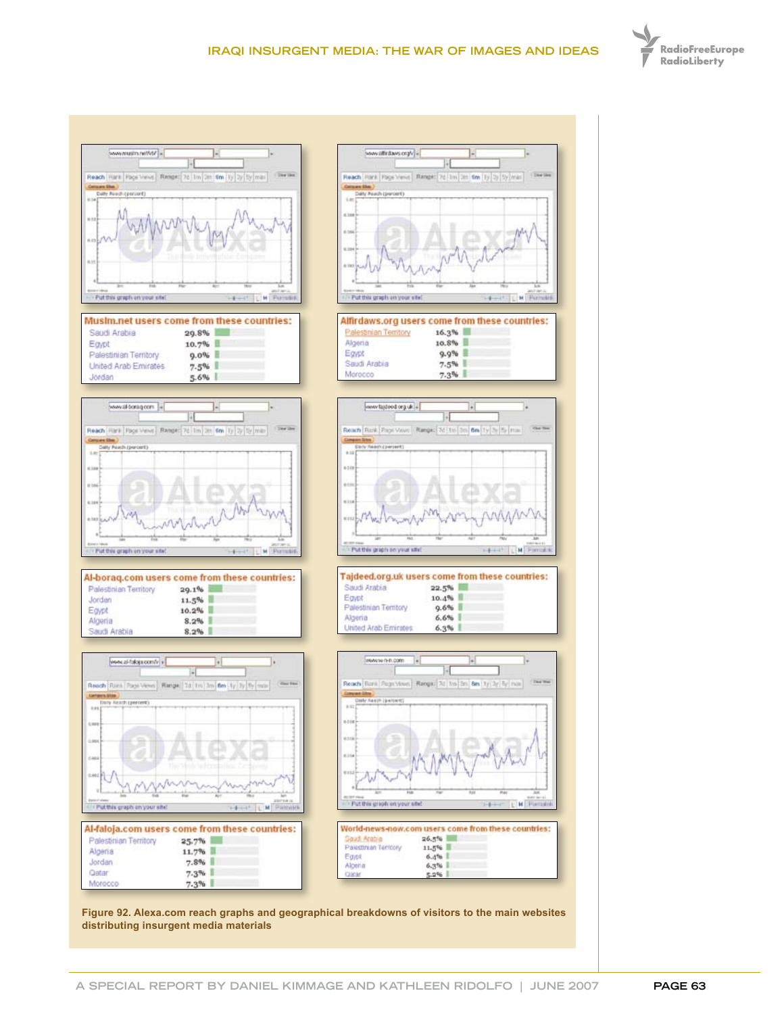





| Al-borag.com users come from these countries: |          |  |
|-----------------------------------------------|----------|--|
| Palestinian Territory                         | 29.1%    |  |
| Jordan                                        | 11.5%    |  |
| Eaypt                                         | $10.2\%$ |  |
| Algeria                                       | 8.2%     |  |
| Saudi Arabia                                  | 8.2%     |  |







**Figure 92. Alexa.com reach graphs and geographical breakdowns of visitors to the main websites distributing insurgent media materials**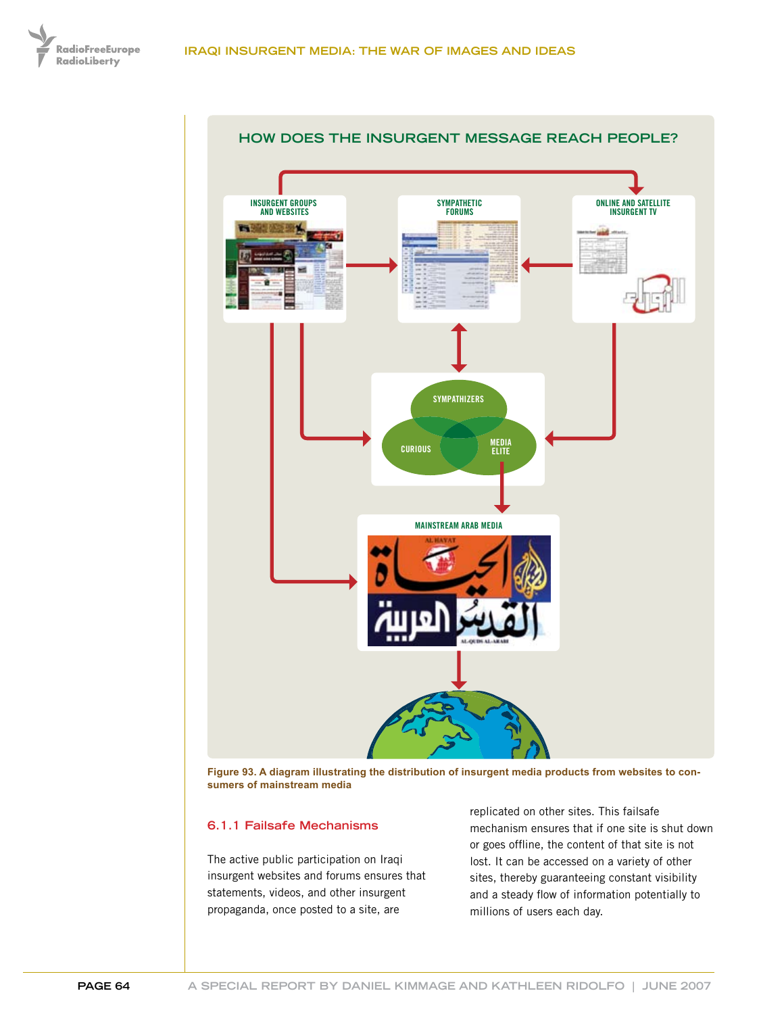



**Figure 93. A diagram illustrating the distribution of insurgent media products from websites to consumers of mainstream media**

#### **6.1.1 Failsafe Mechanisms**

The active public participation on Iraqi insurgent websites and forums ensures that statements, videos, and other insurgent propaganda, once posted to a site, are

replicated on other sites. This failsafe mechanism ensures that if one site is shut down or goes offline, the content of that site is not lost. It can be accessed on a variety of other sites, thereby guaranteeing constant visibility and a steady flow of information potentially to millions of users each day.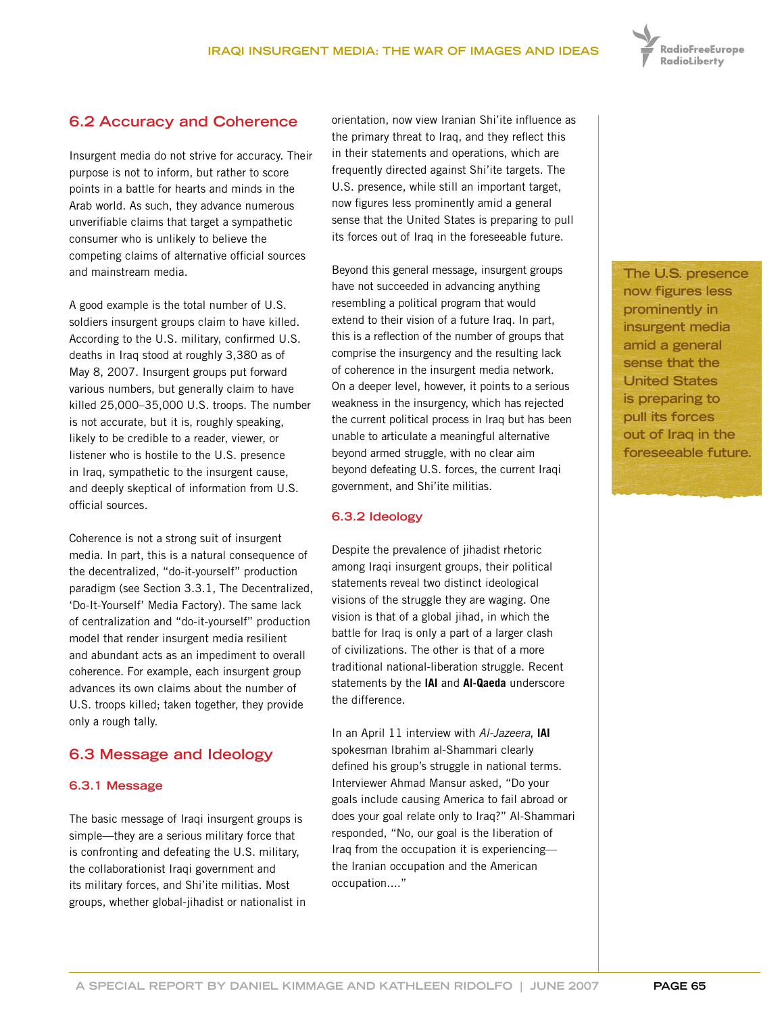

# **6.2 Accuracy and Coherence**

Insurgent media do not strive for accuracy. Their purpose is not to inform, but rather to score points in a battle for hearts and minds in the Arab world. As such, they advance numerous unverifiable claims that target a sympathetic consumer who is unlikely to believe the competing claims of alternative official sources and mainstream media.

A good example is the total number of U.S. soldiers insurgent groups claim to have killed. According to the U.S. military, confirmed U.S. deaths in Iraq stood at roughly 3,380 as of May 8, 2007. Insurgent groups put forward various numbers, but generally claim to have killed 25,000–35,000 U.S. troops. The number is not accurate, but it is, roughly speaking, likely to be credible to a reader, viewer, or listener who is hostile to the U.S. presence in Iraq, sympathetic to the insurgent cause, and deeply skeptical of information from U.S. official sources.

Coherence is not a strong suit of insurgent media. In part, this is a natural consequence of the decentralized, "do-it-yourself" production paradigm (see Section 3.3.1, The Decentralized, 'Do-It-Yourself' Media Factory). The same lack of centralization and "do-it-yourself" production model that render insurgent media resilient and abundant acts as an impediment to overall coherence. For example, each insurgent group advances its own claims about the number of U.S. troops killed; taken together, they provide only a rough tally.

## **6.3 Message and Ideology**

#### **6.3.1 Message**

The basic message of Iraqi insurgent groups is simple—they are a serious military force that is confronting and defeating the U.S. military, the collaborationist Iraqi government and its military forces, and Shi'ite militias. Most groups, whether global-jihadist or nationalist in orientation, now view Iranian Shi'ite influence as the primary threat to Iraq, and they reflect this in their statements and operations, which are frequently directed against Shi'ite targets. The U.S. presence, while still an important target, now figures less prominently amid a general sense that the United States is preparing to pull its forces out of Iraq in the foreseeable future.

Beyond this general message, insurgent groups have not succeeded in advancing anything resembling a political program that would extend to their vision of a future Iraq. In part, this is a reflection of the number of groups that comprise the insurgency and the resulting lack of coherence in the insurgent media network. On a deeper level, however, it points to a serious weakness in the insurgency, which has rejected the current political process in Iraq but has been unable to articulate a meaningful alternative beyond armed struggle, with no clear aim beyond defeating U.S. forces, the current Iraqi government, and Shi'ite militias.

#### **6.3.2 Ideology**

Despite the prevalence of jihadist rhetoric among Iraqi insurgent groups, their political statements reveal two distinct ideological visions of the struggle they are waging. One vision is that of a global jihad, in which the battle for Iraq is only a part of a larger clash of civilizations. The other is that of a more traditional national-liberation struggle. Recent statements by the **IAI** and **Al-Qaeda** underscore the difference.

In an April 11 interview with *Al-Jazeera*, **IAI** spokesman Ibrahim al-Shammari clearly defined his group's struggle in national terms. Interviewer Ahmad Mansur asked, "Do your goals include causing America to fail abroad or does your goal relate only to Iraq?" Al-Shammari responded, "No, our goal is the liberation of Iraq from the occupation it is experiencing the Iranian occupation and the American occupation...."

**The U.S. presence now figures less prominently in insurgent media amid a general sense that the United States is preparing to pull its forces out of Iraq in the foreseeable future.**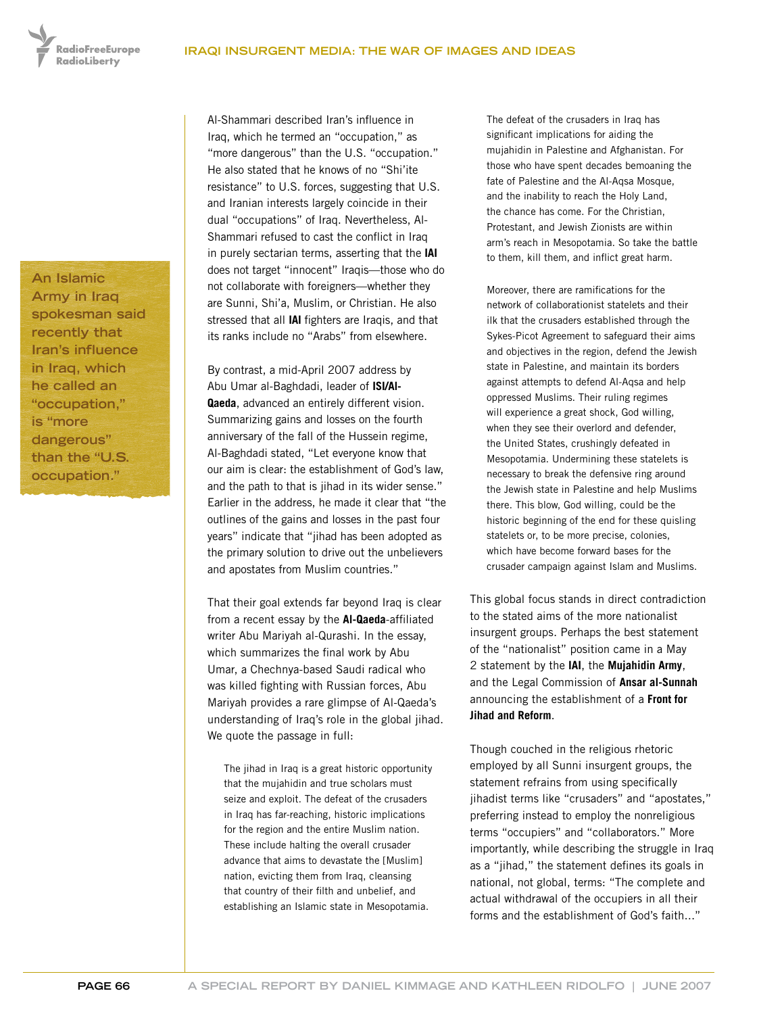**RadioFreeEurope RadioLiberty** 

**An Islamic Army in Iraq spokesman said recently that Iran's influence in Iraq, which he called an "occupation," is "more dangerous" than the "U.S. occupation."**

Al-Shammari described Iran's influence in Iraq, which he termed an "occupation," as "more dangerous" than the U.S. "occupation." He also stated that he knows of no "Shi'ite resistance" to U.S. forces, suggesting that U.S. and Iranian interests largely coincide in their dual "occupations" of Iraq. Nevertheless, Al-Shammari refused to cast the conflict in Iraq in purely sectarian terms, asserting that the **IAI** does not target "innocent" Iraqis—those who do not collaborate with foreigners—whether they are Sunni, Shi'a, Muslim, or Christian. He also stressed that all **IAI** fighters are Iraqis, and that its ranks include no "Arabs" from elsewhere.

By contrast, a mid-April 2007 address by Abu Umar al-Baghdadi, leader of **ISI/Al-Qaeda**, advanced an entirely different vision. Summarizing gains and losses on the fourth anniversary of the fall of the Hussein regime, Al-Baghdadi stated, "Let everyone know that our aim is clear: the establishment of God's law, and the path to that is jihad in its wider sense." Earlier in the address, he made it clear that "the outlines of the gains and losses in the past four years" indicate that "jihad has been adopted as the primary solution to drive out the unbelievers and apostates from Muslim countries."

That their goal extends far beyond Iraq is clear from a recent essay by the **Al-Qaeda**-affiliated writer Abu Mariyah al-Qurashi. In the essay, which summarizes the final work by Abu Umar, a Chechnya-based Saudi radical who was killed fighting with Russian forces, Abu Mariyah provides a rare glimpse of Al-Qaeda's understanding of Iraq's role in the global jihad. We quote the passage in full:

The jihad in Iraq is a great historic opportunity that the mujahidin and true scholars must seize and exploit. The defeat of the crusaders in Iraq has far-reaching, historic implications for the region and the entire Muslim nation. These include halting the overall crusader advance that aims to devastate the [Muslim] nation, evicting them from Iraq, cleansing that country of their filth and unbelief, and establishing an Islamic state in Mesopotamia.

The defeat of the crusaders in Iraq has significant implications for aiding the mujahidin in Palestine and Afghanistan. For those who have spent decades bemoaning the fate of Palestine and the Al-Aqsa Mosque, and the inability to reach the Holy Land, the chance has come. For the Christian, Protestant, and Jewish Zionists are within arm's reach in Mesopotamia. So take the battle to them, kill them, and inflict great harm.

Moreover, there are ramifications for the network of collaborationist statelets and their ilk that the crusaders established through the Sykes-Picot Agreement to safeguard their aims and objectives in the region, defend the Jewish state in Palestine, and maintain its borders against attempts to defend Al-Aqsa and help oppressed Muslims. Their ruling regimes will experience a great shock, God willing, when they see their overlord and defender, the United States, crushingly defeated in Mesopotamia. Undermining these statelets is necessary to break the defensive ring around the Jewish state in Palestine and help Muslims there. This blow, God willing, could be the historic beginning of the end for these quisling statelets or, to be more precise, colonies, which have become forward bases for the crusader campaign against Islam and Muslims.

This global focus stands in direct contradiction to the stated aims of the more nationalist insurgent groups. Perhaps the best statement of the "nationalist" position came in a May 2 statement by the **IAI**, the **Mujahidin Army**, and the Legal Commission of **Ansar al-Sunnah** announcing the establishment of a **Front for Jihad and Reform**.

Though couched in the religious rhetoric employed by all Sunni insurgent groups, the statement refrains from using specifically jihadist terms like "crusaders" and "apostates," preferring instead to employ the nonreligious terms "occupiers" and "collaborators." More importantly, while describing the struggle in Iraq as a "jihad," the statement defines its goals in national, not global, terms: "The complete and actual withdrawal of the occupiers in all their forms and the establishment of God's faith..."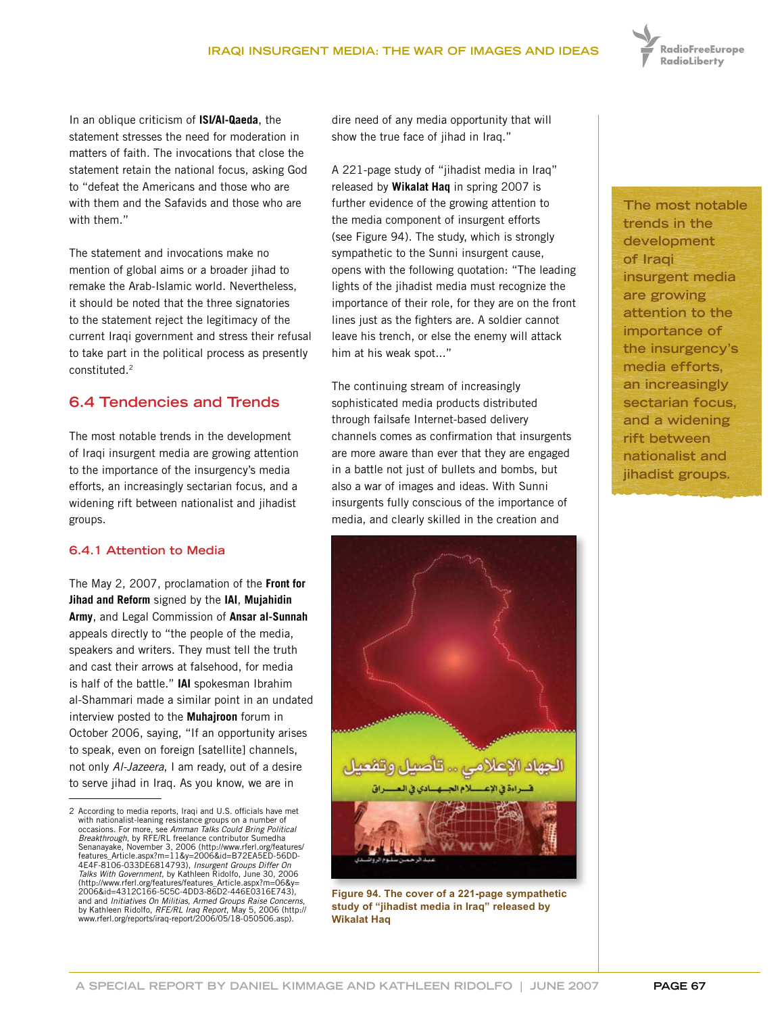

In an oblique criticism of **ISI/Al-Qaeda**, the statement stresses the need for moderation in matters of faith. The invocations that close the statement retain the national focus, asking God to "defeat the Americans and those who are with them and the Safavids and those who are with them."

The statement and invocations make no mention of global aims or a broader jihad to remake the Arab-Islamic world. Nevertheless, it should be noted that the three signatories to the statement reject the legitimacy of the current Iraqi government and stress their refusal to take part in the political process as presently constituted.2

# **6.4 Tendencies and Trends**

The most notable trends in the development of Iraqi insurgent media are growing attention to the importance of the insurgency's media efforts, an increasingly sectarian focus, and a widening rift between nationalist and jihadist groups.

### **6.4.1 Attention to Media**

The May 2, 2007, proclamation of the **Front for Jihad and Reform** signed by the **IAI**, **Mujahidin Army**, and Legal Commission of **Ansar al-Sunnah** appeals directly to "the people of the media, speakers and writers. They must tell the truth and cast their arrows at falsehood, for media is half of the battle." **IAI** spokesman Ibrahim al-Shammari made a similar point in an undated interview posted to the **Muhajroon** forum in October 2006, saying, "If an opportunity arises to speak, even on foreign [satellite] channels, not only *Al-Jazeera*, I am ready, out of a desire to serve jihad in Iraq. As you know, we are in

dire need of any media opportunity that will show the true face of jihad in Iraq."

A 221-page study of "jihadist media in Iraq" released by **Wikalat Haq** in spring 2007 is further evidence of the growing attention to the media component of insurgent efforts (see Figure 94). The study, which is strongly sympathetic to the Sunni insurgent cause, opens with the following quotation: "The leading lights of the jihadist media must recognize the importance of their role, for they are on the front lines just as the fighters are. A soldier cannot leave his trench, or else the enemy will attack him at his weak spot..."

The continuing stream of increasingly sophisticated media products distributed through failsafe Internet-based delivery channels comes as confirmation that insurgents are more aware than ever that they are engaged in a battle not just of bullets and bombs, but also a war of images and ideas. With Sunni insurgents fully conscious of the importance of media, and clearly skilled in the creation and



**Figure 94. The cover of a 221-page sympathetic study of "jihadist media in Iraq" released by Wikalat Haq**

**The most notable trends in the development of Iraqi insurgent media are growing attention to the importance of the insurgency's media efforts, an increasingly sectarian focus, and a widening rift between nationalist and jihadist groups.**

<sup>2</sup> According to media reports, Iraqi and U.S. officials have met with nationalist-leaning resistance groups on a number of occasions. For more, see *Amman Talks Could Bring Political Breakthrough*, by RFE/RL freelance contributor Sumedha Senanayake, November 3, 2006 (http://www.rferl.org/features/ features\_Article.aspx?m=11&y=2006&id=B72EA5ED-56DD-4E4F-8106-033DE6814793), *Insurgent Groups Differ On Talks With Government*, by Kathleen Ridolfo, June 30, 2006 (http://www.rferl.org/features/features\_Article.aspx?m=06&y= 2006&id=4312C166-5C5C-4DD3-86D2-446E0316E743), and and *Initiatives On Militias, Armed Groups Raise Concerns*, by Kathleen Ridolfo, *RFE/RL Iraq Report*, May 5, 2006 (http:// www.rferl.org/reports/iraq-report/2006/05/18-050506.asp).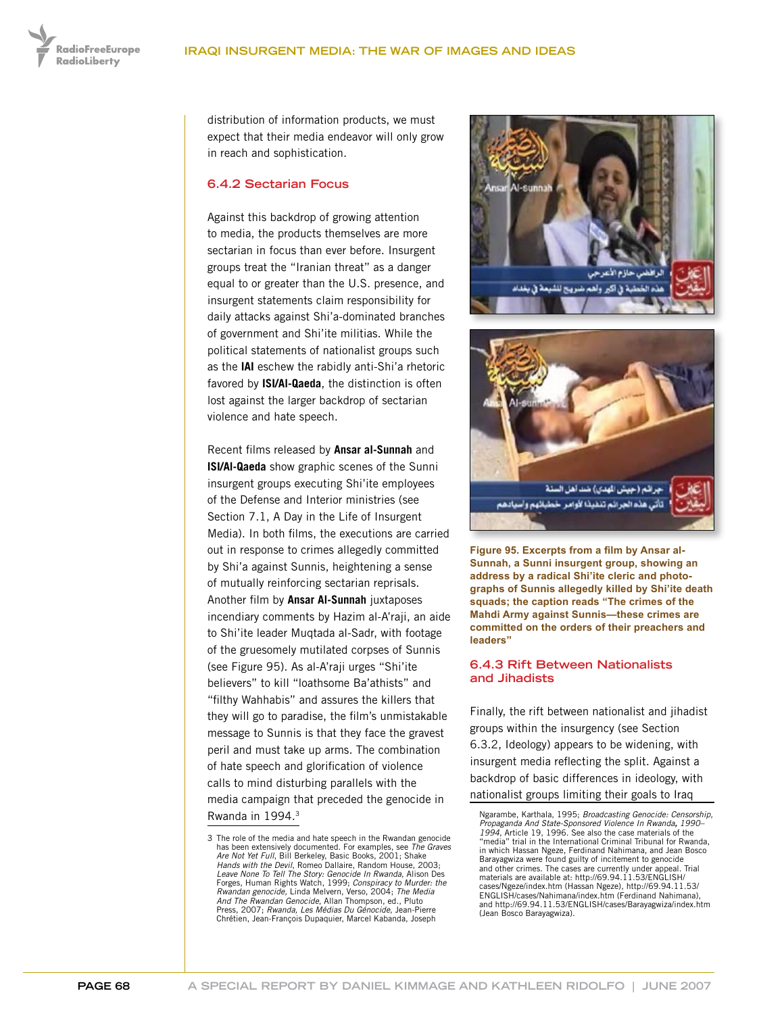distribution of information products, we must expect that their media endeavor will only grow in reach and sophistication.

#### **6.4.2 Sectarian Focus**

Against this backdrop of growing attention to media, the products themselves are more sectarian in focus than ever before. Insurgent groups treat the "Iranian threat" as a danger equal to or greater than the U.S. presence, and insurgent statements claim responsibility for daily attacks against Shi'a-dominated branches of government and Shi'ite militias. While the political statements of nationalist groups such as the **IAI** eschew the rabidly anti-Shi'a rhetoric favored by **ISI/Al-Qaeda**, the distinction is often lost against the larger backdrop of sectarian violence and hate speech.

Recent films released by **Ansar al-Sunnah** and **ISI/Al-Qaeda** show graphic scenes of the Sunni insurgent groups executing Shi'ite employees of the Defense and Interior ministries (see Section 7.1, A Day in the Life of Insurgent Media). In both films, the executions are carried out in response to crimes allegedly committed by Shi'a against Sunnis, heightening a sense of mutually reinforcing sectarian reprisals. Another film by **Ansar Al-Sunnah** juxtaposes incendiary comments by Hazim al-A'raji, an aide to Shi'ite leader Muqtada al-Sadr, with footage of the gruesomely mutilated corpses of Sunnis (see Figure 95). As al-A'raji urges "Shi'ite believers" to kill "loathsome Ba'athists" and "filthy Wahhabis" and assures the killers that they will go to paradise, the film's unmistakable message to Sunnis is that they face the gravest peril and must take up arms. The combination of hate speech and glorification of violence calls to mind disturbing parallels with the media campaign that preceded the genocide in Rwanda in 1994.3



جرائم (جيش الهدي) ضد آهل السنة تأتى هذه الجرائم تنفيذا لأوامر خطبائهم وأسيادهم

**Figure 95. Excerpts from a film by Ansar al-Sunnah, a Sunni insurgent group, showing an address by a radical Shi'ite cleric and photographs of Sunnis allegedly killed by Shi'ite death squads; the caption reads "The crimes of the Mahdi Army against Sunnis—these crimes are committed on the orders of their preachers and leaders"**

#### **6.4.3 Rift Between Nationalists and Jihadists**

Finally, the rift between nationalist and jihadist groups within the insurgency (see Section 6.3.2, Ideology) appears to be widening, with insurgent media reflecting the split. Against a backdrop of basic differences in ideology, with nationalist groups limiting their goals to Iraq

<sup>3</sup> The role of the media and hate speech in the Rwandan genocide has been extensively documented. For examples, see *The Graves Are Not Yet Full*, Bill Berkeley, Basic Books, 2001; Shake *Hands with the Devil*, Romeo Dallaire, Random House, 2003; *Leave None To Tell The Story: Genocide In Rwanda*, Alison Des Forges, Human Rights Watch, 1999; *Conspiracy to Murder: the Rwandan genocide,* Linda Melvern, Verso, 2004; *The Media And The Rwandan Genocide*, Allan Thompson, ed., Pluto Press, 2007; *Rwanda, Les Médias Du Génocide*, Jean-Pierre Chrétien, Jean-François Dupaquier, Marcel Kabanda, Joseph

Ngarambe, Karthala, 1995; *Broadcasting Genocide: Censorship, Propaganda And State-Sponsored Violence In Rwanda, 1990– 1994*, Article 19, 1996. See also the case materials of the "media" trial in the International Criminal Tribunal for Rwanda, in which Hassan Ngeze, Ferdinand Nahimana, and Jean Bosco Barayagwiza were found guilty of incitement to genocide and other crimes. The cases are currently under appeal. Trial materials are available at: http://69.94.11.53/ENGLISH/ cases/Ngeze/index.htm (Hassan Ngeze), http://69.94.11.53/ ENGLISH/cases/Nahimana/index.htm (Ferdinand Nahimana), and http://69.94.11.53/ENGLISH/cases/Barayagwiza/index.htm (Jean Bosco Barayagwiza).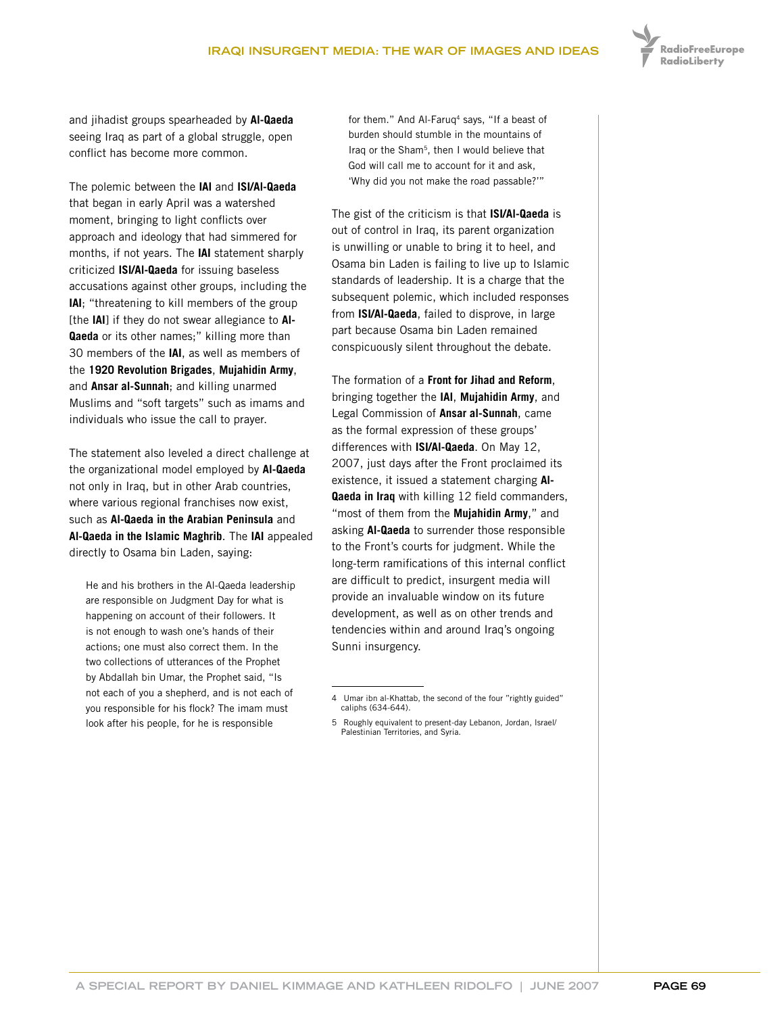

and jihadist groups spearheaded by **Al-Qaeda** seeing Iraq as part of a global struggle, open conflict has become more common.

The polemic between the **IAI** and **ISI/Al-Qaeda** that began in early April was a watershed moment, bringing to light conflicts over approach and ideology that had simmered for months, if not years. The **IAI** statement sharply criticized **ISI/Al-Qaeda** for issuing baseless accusations against other groups, including the **IAI**; "threatening to kill members of the group [the **IAI**] if they do not swear allegiance to **Al-Qaeda** or its other names;" killing more than 30 members of the **IAI**, as well as members of the **1920 Revolution Brigades**, **Mujahidin Army**, and **Ansar al-Sunnah**; and killing unarmed Muslims and "soft targets" such as imams and individuals who issue the call to prayer.

The statement also leveled a direct challenge at the organizational model employed by **Al-Qaeda** not only in Iraq, but in other Arab countries, where various regional franchises now exist, such as **Al-Qaeda in the Arabian Peninsula** and **Al-Qaeda in the Islamic Maghrib**. The **IAI** appealed directly to Osama bin Laden, saying:

He and his brothers in the Al-Qaeda leadership are responsible on Judgment Day for what is happening on account of their followers. It is not enough to wash one's hands of their actions; one must also correct them. In the two collections of utterances of the Prophet by Abdallah bin Umar, the Prophet said, "Is not each of you a shepherd, and is not each of you responsible for his flock? The imam must look after his people, for he is responsible

for them." And Al-Faruq<sup>4</sup> says, "If a beast of burden should stumble in the mountains of Iraq or the Sham<sup>5</sup>, then I would believe that God will call me to account for it and ask, 'Why did you not make the road passable?'"

The gist of the criticism is that **ISI/Al-Qaeda** is out of control in Iraq, its parent organization is unwilling or unable to bring it to heel, and Osama bin Laden is failing to live up to Islamic standards of leadership. It is a charge that the subsequent polemic, which included responses from **ISI/Al-Qaeda**, failed to disprove, in large part because Osama bin Laden remained conspicuously silent throughout the debate.

The formation of a **Front for Jihad and Reform**, bringing together the **IAI**, **Mujahidin Army**, and Legal Commission of **Ansar al-Sunnah**, came as the formal expression of these groups' differences with **ISI/Al-Qaeda**. On May 12, 2007, just days after the Front proclaimed its existence, it issued a statement charging **Al-Qaeda in Iraq** with killing 12 field commanders, "most of them from the **Mujahidin Army**," and asking **Al-Qaeda** to surrender those responsible to the Front's courts for judgment. While the long-term ramifications of this internal conflict are difficult to predict, insurgent media will provide an invaluable window on its future development, as well as on other trends and tendencies within and around Iraq's ongoing Sunni insurgency.

<sup>4</sup> Umar ibn al-Khattab, the second of the four "rightly guided" caliphs (634-644).

<sup>5</sup> Roughly equivalent to present-day Lebanon, Jordan, Israel/ Palestinian Territories, and Syria.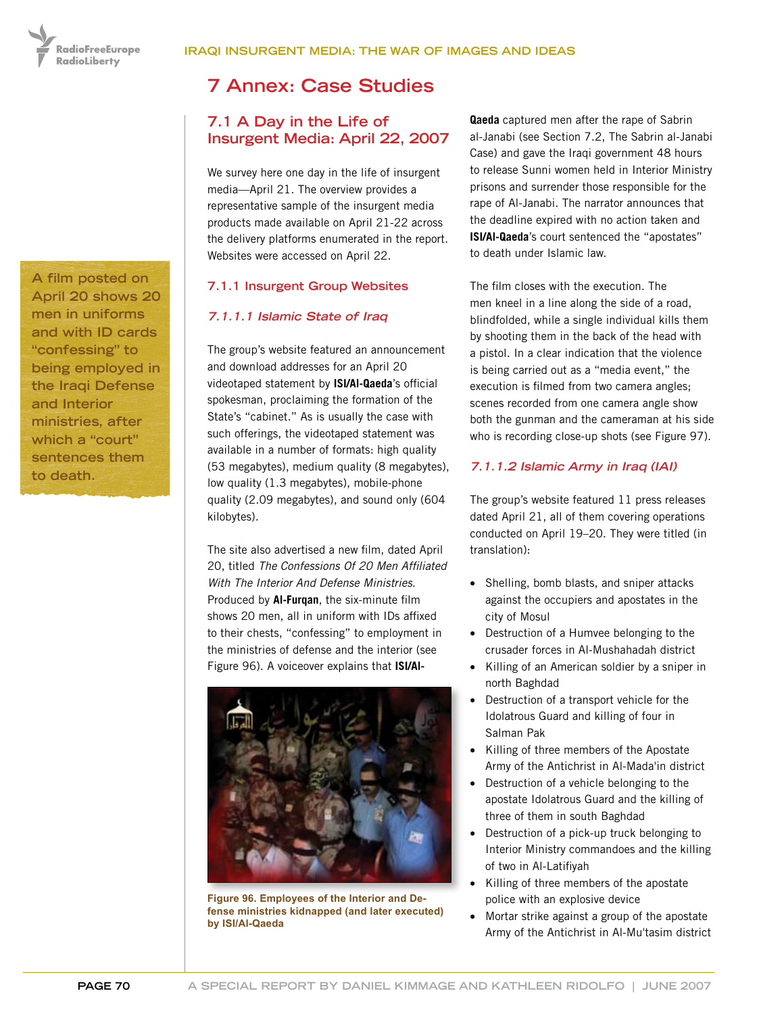RadioFreeEurope **RadioLiberty** 

**A film posted on April 20 shows 20 men in uniforms and with ID cards "confessing" to being employed in the Iraqi Defense and Interior ministries, after which a "court" sentences them to death.**

# **7 Annex: Case Studies**

# **7.1 A Day in the Life of Insurgent Media: April 22, 2007**

We survey here one day in the life of insurgent media—April 21. The overview provides a representative sample of the insurgent media products made available on April 21-22 across the delivery platforms enumerated in the report. Websites were accessed on April 22.

## **7.1.1 Insurgent Group Websites**

## **7.1.1.1 Islamic State of Iraq**

The group's website featured an announcement and download addresses for an April 20 videotaped statement by **ISI/Al-Qaeda**'s official spokesman, proclaiming the formation of the State's "cabinet." As is usually the case with such offerings, the videotaped statement was available in a number of formats: high quality (53 megabytes), medium quality (8 megabytes), low quality (1.3 megabytes), mobile-phone quality (2.09 megabytes), and sound only (604 kilobytes).

The site also advertised a new film, dated April 20, titled *The Confessions Of 20 Men Affiliated With The Interior And Defense Ministries*. Produced by **Al-Furqan**, the six-minute film shows 20 men, all in uniform with IDs affixed to their chests, "confessing" to employment in the ministries of defense and the interior (see Figure 96). A voiceover explains that **ISI/Al-**



**Figure 96. Employees of the Interior and Defense ministries kidnapped (and later executed) by ISI/Al-Qaeda**

**Qaeda** captured men after the rape of Sabrin al-Janabi (see Section 7.2, The Sabrin al-Janabi Case) and gave the Iraqi government 48 hours to release Sunni women held in Interior Ministry prisons and surrender those responsible for the rape of Al-Janabi. The narrator announces that the deadline expired with no action taken and **ISI/Al-Qaeda**'s court sentenced the "apostates" to death under Islamic law.

The film closes with the execution. The men kneel in a line along the side of a road, blindfolded, while a single individual kills them by shooting them in the back of the head with a pistol. In a clear indication that the violence is being carried out as a "media event," the execution is filmed from two camera angles; scenes recorded from one camera angle show both the gunman and the cameraman at his side who is recording close-up shots (see Figure 97).

## **7.1.1.2 Islamic Army in Iraq (IAI)**

The group's website featured 11 press releases dated April 21, all of them covering operations conducted on April 19–20. They were titled (in translation):

- Shelling, bomb blasts, and sniper attacks against the occupiers and apostates in the city of Mosul
- Destruction of a Humvee belonging to the crusader forces in Al-Mushahadah district
- Killing of an American soldier by a sniper in north Baghdad
- Destruction of a transport vehicle for the Idolatrous Guard and killing of four in Salman Pak
- • Killing of three members of the Apostate Army of the Antichrist in Al-Mada'in district
- Destruction of a vehicle belonging to the apostate Idolatrous Guard and the killing of three of them in south Baghdad
- Destruction of a pick-up truck belonging to Interior Ministry commandoes and the killing of two in Al-Latifiyah
- Killing of three members of the apostate police with an explosive device
- Mortar strike against a group of the apostate Army of the Antichrist in Al-Mu'tasim district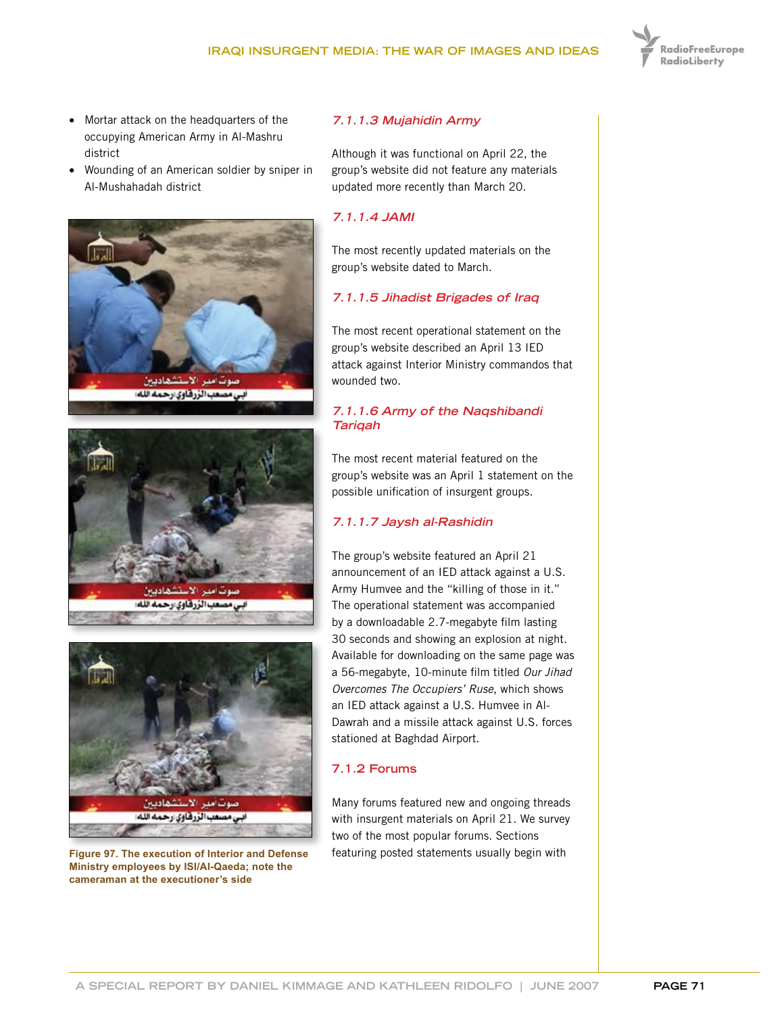

- • Mortar attack on the headquarters of the occupying American Army in Al-Mashru district
- Wounding of an American soldier by sniper in Al-Mushahadah district







**Ministry employees by ISI/Al-Qaeda; note the cameraman at the executioner's side**

#### **7.1.1.3 Mujahidin Army**

Although it was functional on April 22, the group's website did not feature any materials updated more recently than March 20.

#### **7.1.1.4 JAMI**

The most recently updated materials on the group's website dated to March.

#### **7.1.1.5 Jihadist Brigades of Iraq**

The most recent operational statement on the group's website described an April 13 IED attack against Interior Ministry commandos that wounded two.

#### **7.1.1.6 Army of the Naqshibandi Tariqah**

The most recent material featured on the group's website was an April 1 statement on the possible unification of insurgent groups.

## **7.1.1.7 Jaysh al-Rashidin**

The group's website featured an April 21 announcement of an IED attack against a U.S. Army Humvee and the "killing of those in it." The operational statement was accompanied by a downloadable 2.7-megabyte film lasting 30 seconds and showing an explosion at night. Available for downloading on the same page was a 56-megabyte, 10-minute film titled *Our Jihad Overcomes The Occupiers' Ruse*, which shows an IED attack against a U.S. Humvee in Al-Dawrah and a missile attack against U.S. forces stationed at Baghdad Airport.

### **7.1.2 Forums**

Many forums featured new and ongoing threads with insurgent materials on April 21. We survey two of the most popular forums. Sections **Figure 97. The execution of Interior and Defense** featuring posted statements usually begin with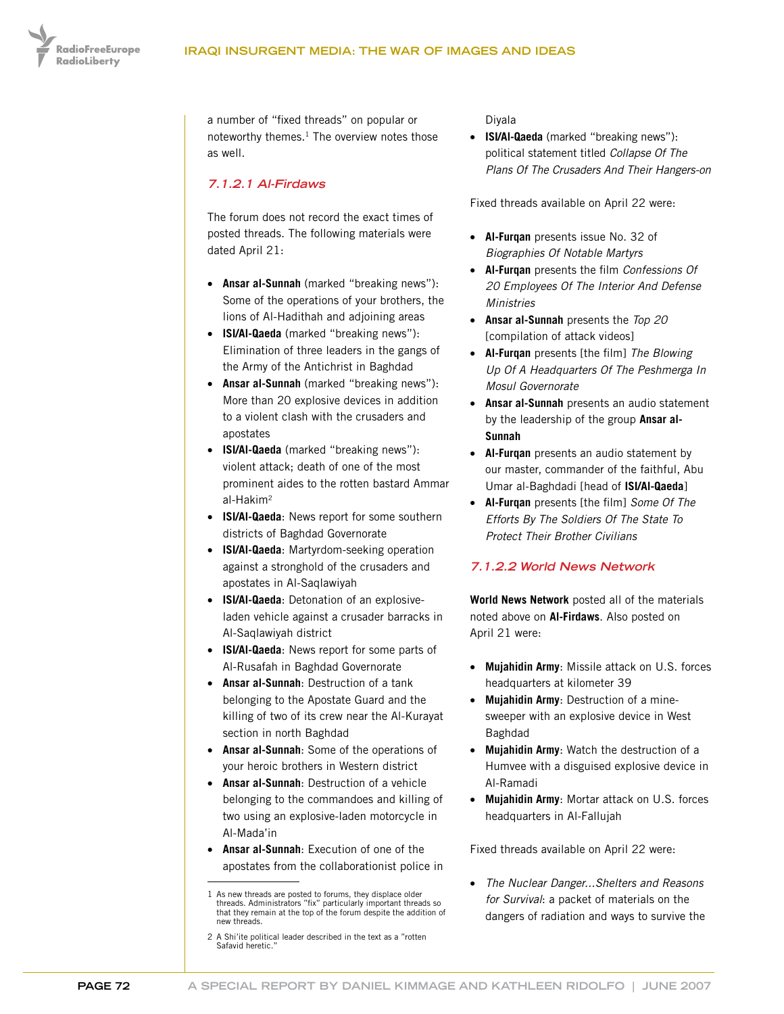

a number of "fixed threads" on popular or noteworthy themes.<sup>1</sup> The overview notes those as well.

## **7.1.2.1 Al-Firdaws**

The forum does not record the exact times of posted threads. The following materials were dated April 21:

- • **Ansar al-Sunnah** (marked "breaking news"): Some of the operations of your brothers, the lions of Al-Hadithah and adjoining areas
- • **ISI/Al-Qaeda** (marked "breaking news"): Elimination of three leaders in the gangs of the Army of the Antichrist in Baghdad
- • **Ansar al-Sunnah** (marked "breaking news"): More than 20 explosive devices in addition to a violent clash with the crusaders and apostates
- • **ISI/Al-Qaeda** (marked "breaking news"): violent attack; death of one of the most prominent aides to the rotten bastard Ammar al-Hakim2
- • **ISI/Al-Qaeda**: News report for some southern districts of Baghdad Governorate
- • **ISI/Al-Qaeda**: Martyrdom-seeking operation against a stronghold of the crusaders and apostates in Al-Saqlawiyah
- • **ISI/Al-Qaeda**: Detonation of an explosiveladen vehicle against a crusader barracks in Al-Saqlawiyah district
- • **ISI/Al-Qaeda**: News report for some parts of Al-Rusafah in Baghdad Governorate
- • **Ansar al-Sunnah**: Destruction of a tank belonging to the Apostate Guard and the killing of two of its crew near the Al-Kurayat section in north Baghdad
- • **Ansar al-Sunnah**: Some of the operations of your heroic brothers in Western district
- • **Ansar al-Sunnah**: Destruction of a vehicle belonging to the commandoes and killing of two using an explosive-laden motorcycle in Al-Mada'in
- **Ansar al-Sunnah:** Execution of one of the apostates from the collaborationist police in

Diyala

• **ISI/Al-Qaeda** (marked "breaking news"): political statement titled *Collapse Of The Plans Of The Crusaders And Their Hangers-on*

Fixed threads available on April 22 were:

- • **Al-Furqan** presents issue No. 32 of *Biographies Of Notable Martyrs*
- • **Al-Furqan** presents the film *Confessions Of 20 Employees Of The Interior And Defense Ministries*
- • **Ansar al-Sunnah** presents the *Top 20* [compilation of attack videos]
- • **Al-Furqan** presents [the film] *The Blowing Up Of A Headquarters Of The Peshmerga In Mosul Governorate*
- • **Ansar al-Sunnah** presents an audio statement by the leadership of the group **Ansar al-Sunnah**
- • **Al-Furqan** presents an audio statement by our master, commander of the faithful, Abu Umar al-Baghdadi [head of **ISI/Al-Qaeda**]
- • **Al-Furqan** presents [the film] *Some Of The Efforts By The Soldiers Of The State To Protect Their Brother Civilians*

## **7.1.2.2 World News Network**

**World News Network** posted all of the materials noted above on **Al-Firdaws**. Also posted on April 21 were:

- • **Mujahidin Army**: Missile attack on U.S. forces headquarters at kilometer 39
- **Mujahidin Army: Destruction of a mine**sweeper with an explosive device in West Baghdad
- • **Mujahidin Army**: Watch the destruction of a Humvee with a disguised explosive device in Al-Ramadi
- • **Mujahidin Army**: Mortar attack on U.S. forces headquarters in Al-Fallujah

Fixed threads available on April 22 were:

• *The Nuclear Danger...Shelters and Reasons for Survival*: a packet of materials on the dangers of radiation and ways to survive the

<sup>1</sup> As new threads are posted to forums, they displace older threads. Administrators "fix" particularly important threads so that they remain at the top of the forum despite the addition of new threads.

<sup>2</sup> A Shi'ite political leader described in the text as a "rotten Safavid heretic.